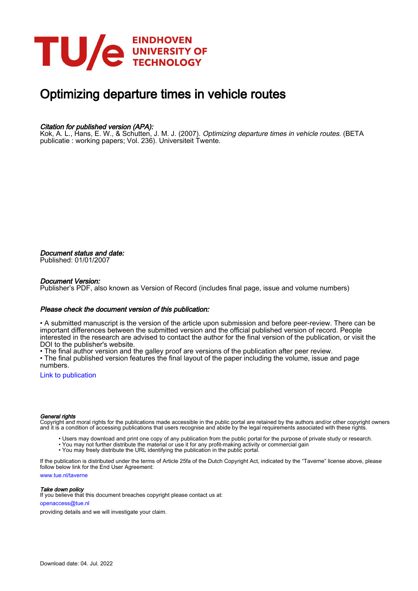

# Optimizing departure times in vehicle routes

#### Citation for published version (APA):

Kok, A. L., Hans, E. W., & Schutten, J. M. J. (2007). *Optimizing departure times in vehicle routes*. (BETA publicatie : working papers; Vol. 236). Universiteit Twente.

Document status and date: Published: 01/01/2007

#### Document Version:

Publisher's PDF, also known as Version of Record (includes final page, issue and volume numbers)

#### Please check the document version of this publication:

• A submitted manuscript is the version of the article upon submission and before peer-review. There can be important differences between the submitted version and the official published version of record. People interested in the research are advised to contact the author for the final version of the publication, or visit the DOI to the publisher's website.

• The final author version and the galley proof are versions of the publication after peer review.

• The final published version features the final layout of the paper including the volume, issue and page numbers.

[Link to publication](https://research.tue.nl/en/publications/81b3ece8-b847-4807-8949-02cbf101f5ce)

#### General rights

Copyright and moral rights for the publications made accessible in the public portal are retained by the authors and/or other copyright owners and it is a condition of accessing publications that users recognise and abide by the legal requirements associated with these rights.

- Users may download and print one copy of any publication from the public portal for the purpose of private study or research.
- You may not further distribute the material or use it for any profit-making activity or commercial gain
- You may freely distribute the URL identifying the publication in the public portal.

If the publication is distributed under the terms of Article 25fa of the Dutch Copyright Act, indicated by the "Taverne" license above, please follow below link for the End User Agreement:

www.tue.nl/taverne

**Take down policy**<br>If you believe that this document breaches copyright please contact us at:

openaccess@tue.nl

providing details and we will investigate your claim.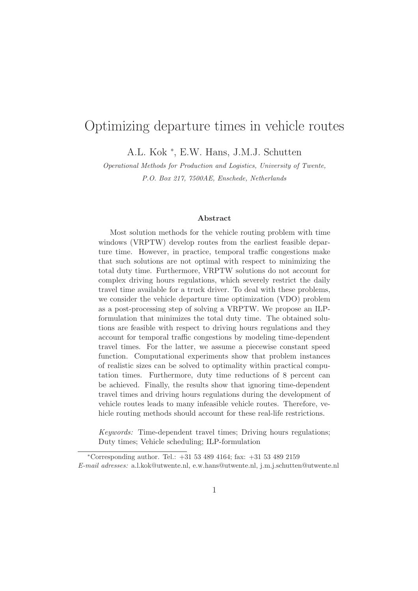## Optimizing departure times in vehicle routes

A.L. Kok <sup>∗</sup> , E.W. Hans, J.M.J. Schutten

Operational Methods for Production and Logistics, University of Twente, P.O. Box 217, 7500AE, Enschede, Netherlands

#### Abstract

Most solution methods for the vehicle routing problem with time windows (VRPTW) develop routes from the earliest feasible departure time. However, in practice, temporal traffic congestions make that such solutions are not optimal with respect to minimizing the total duty time. Furthermore, VRPTW solutions do not account for complex driving hours regulations, which severely restrict the daily travel time available for a truck driver. To deal with these problems, we consider the vehicle departure time optimization (VDO) problem as a post-processing step of solving a VRPTW. We propose an ILPformulation that minimizes the total duty time. The obtained solutions are feasible with respect to driving hours regulations and they account for temporal traffic congestions by modeling time-dependent travel times. For the latter, we assume a piecewise constant speed function. Computational experiments show that problem instances of realistic sizes can be solved to optimality within practical computation times. Furthermore, duty time reductions of 8 percent can be achieved. Finally, the results show that ignoring time-dependent travel times and driving hours regulations during the development of vehicle routes leads to many infeasible vehicle routes. Therefore, vehicle routing methods should account for these real-life restrictions.

Keywords: Time-dependent travel times; Driving hours regulations; Duty times; Vehicle scheduling; ILP-formulation

<sup>∗</sup>Corresponding author. Tel.: +31 53 489 4164; fax: +31 53 489 2159 E-mail adresses: a.l.kok@utwente.nl, e.w.hans@utwente.nl, j.m.j.schutten@utwente.nl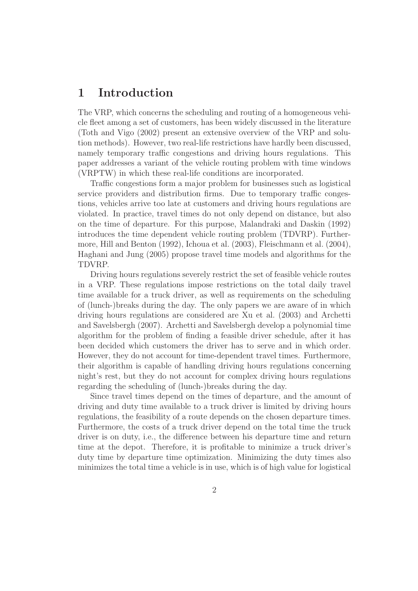## 1 Introduction

The VRP, which concerns the scheduling and routing of a homogeneous vehicle fleet among a set of customers, has been widely discussed in the literature (Toth and Vigo (2002) present an extensive overview of the VRP and solution methods). However, two real-life restrictions have hardly been discussed, namely temporary traffic congestions and driving hours regulations. This paper addresses a variant of the vehicle routing problem with time windows (VRPTW) in which these real-life conditions are incorporated.

Traffic congestions form a major problem for businesses such as logistical service providers and distribution firms. Due to temporary traffic congestions, vehicles arrive too late at customers and driving hours regulations are violated. In practice, travel times do not only depend on distance, but also on the time of departure. For this purpose, Malandraki and Daskin (1992) introduces the time dependent vehicle routing problem (TDVRP). Furthermore, Hill and Benton (1992), Ichoua et al. (2003), Fleischmann et al. (2004), Haghani and Jung (2005) propose travel time models and algorithms for the TDVRP.

Driving hours regulations severely restrict the set of feasible vehicle routes in a VRP. These regulations impose restrictions on the total daily travel time available for a truck driver, as well as requirements on the scheduling of (lunch-)breaks during the day. The only papers we are aware of in which driving hours regulations are considered are Xu et al. (2003) and Archetti and Savelsbergh (2007). Archetti and Savelsbergh develop a polynomial time algorithm for the problem of finding a feasible driver schedule, after it has been decided which customers the driver has to serve and in which order. However, they do not account for time-dependent travel times. Furthermore, their algorithm is capable of handling driving hours regulations concerning night's rest, but they do not account for complex driving hours regulations regarding the scheduling of (lunch-)breaks during the day.

Since travel times depend on the times of departure, and the amount of driving and duty time available to a truck driver is limited by driving hours regulations, the feasibility of a route depends on the chosen departure times. Furthermore, the costs of a truck driver depend on the total time the truck driver is on duty, i.e., the difference between his departure time and return time at the depot. Therefore, it is profitable to minimize a truck driver's duty time by departure time optimization. Minimizing the duty times also minimizes the total time a vehicle is in use, which is of high value for logistical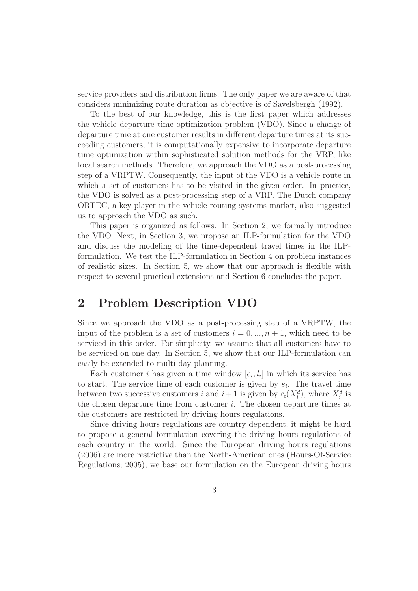service providers and distribution firms. The only paper we are aware of that considers minimizing route duration as objective is of Savelsbergh (1992).

To the best of our knowledge, this is the first paper which addresses the vehicle departure time optimization problem (VDO). Since a change of departure time at one customer results in different departure times at its succeeding customers, it is computationally expensive to incorporate departure time optimization within sophisticated solution methods for the VRP, like local search methods. Therefore, we approach the VDO as a post-processing step of a VRPTW. Consequently, the input of the VDO is a vehicle route in which a set of customers has to be visited in the given order. In practice, the VDO is solved as a post-processing step of a VRP. The Dutch company ORTEC, a key-player in the vehicle routing systems market, also suggested us to approach the VDO as such.

This paper is organized as follows. In Section 2, we formally introduce the VDO. Next, in Section 3, we propose an ILP-formulation for the VDO and discuss the modeling of the time-dependent travel times in the ILPformulation. We test the ILP-formulation in Section 4 on problem instances of realistic sizes. In Section 5, we show that our approach is flexible with respect to several practical extensions and Section 6 concludes the paper.

## 2 Problem Description VDO

Since we approach the VDO as a post-processing step of a VRPTW, the input of the problem is a set of customers  $i = 0, ..., n + 1$ , which need to be serviced in this order. For simplicity, we assume that all customers have to be serviced on one day. In Section 5, we show that our ILP-formulation can easily be extended to multi-day planning.

Each customer *i* has given a time window  $[e_i, l_i]$  in which its service has to start. The service time of each customer is given by  $s_i$ . The travel time between two successive customers i and  $i+1$  is given by  $c_i(X_i^d)$ , where  $X_i^d$  is the chosen departure time from customer  $i$ . The chosen departure times at the customers are restricted by driving hours regulations.

Since driving hours regulations are country dependent, it might be hard to propose a general formulation covering the driving hours regulations of each country in the world. Since the European driving hours regulations (2006) are more restrictive than the North-American ones (Hours-Of-Service Regulations; 2005), we base our formulation on the European driving hours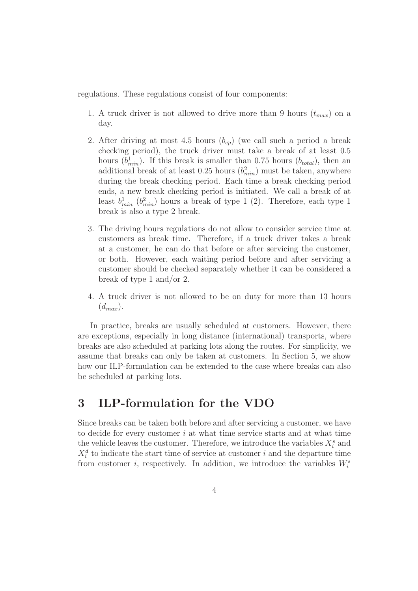regulations. These regulations consist of four components:

- 1. A truck driver is not allowed to drive more than 9 hours  $(t_{max})$  on a day.
- 2. After driving at most 4.5 hours  $(b_{cp})$  (we call such a period a break checking period), the truck driver must take a break of at least 0.5 hours  $(b_{min}^1)$ . If this break is smaller than 0.75 hours  $(b_{total})$ , then an additional break of at least 0.25 hours  $(b_{min}^2)$  must be taken, anywhere during the break checking period. Each time a break checking period ends, a new break checking period is initiated. We call a break of at least  $b_{min}^1$  ( $b_{min}^2$ ) hours a break of type 1 (2). Therefore, each type 1 break is also a type 2 break.
- 3. The driving hours regulations do not allow to consider service time at customers as break time. Therefore, if a truck driver takes a break at a customer, he can do that before or after servicing the customer, or both. However, each waiting period before and after servicing a customer should be checked separately whether it can be considered a break of type 1 and/or 2.
- 4. A truck driver is not allowed to be on duty for more than 13 hours  $(d_{max}).$

In practice, breaks are usually scheduled at customers. However, there are exceptions, especially in long distance (international) transports, where breaks are also scheduled at parking lots along the routes. For simplicity, we assume that breaks can only be taken at customers. In Section 5, we show how our ILP-formulation can be extended to the case where breaks can also be scheduled at parking lots.

## 3 ILP-formulation for the VDO

Since breaks can be taken both before and after servicing a customer, we have to decide for every customer  $i$  at what time service starts and at what time the vehicle leaves the customer. Therefore, we introduce the variables  $X_i^s$  and  $X_i^d$  to indicate the start time of service at customer i and the departure time from customer *i*, respectively. In addition, we introduce the variables  $W_i^s$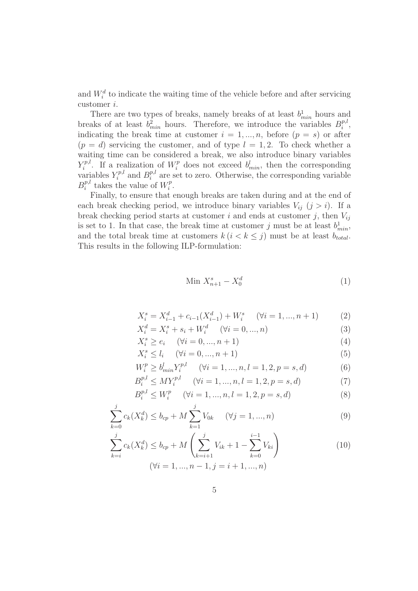and  $W_i^d$  to indicate the waiting time of the vehicle before and after servicing customer i.

There are two types of breaks, namely breaks of at least  $b_{min}^1$  hours and breaks of at least  $b_{min}^2$  hours. Therefore, we introduce the variables  $B_i^{p,l}$  $i^{p,\iota}$ , indicating the break time at customer  $i = 1, ..., n$ , before  $(p = s)$  or after  $(p = d)$  servicing the customer, and of type  $l = 1, 2$ . To check whether a waiting time can be considered a break, we also introduce binary variables  $Y_i^{p,l}$ <sup>p,l</sup>. If a realization of  $W_i^p$  does not exceed  $b_{min}^l$ , then the corresponding variables  $Y_i^{p,l}$  $E_i^{p,l}$  and  $B_i^{p,l}$  $i^{p,l}$  are set to zero. Otherwise, the corresponding variable  $B_i^{p,l}$  $i^{p,l}$  takes the value of  $W_i^p$  $i^p$ .

Finally, to ensure that enough breaks are taken during and at the end of each break checking period, we introduce binary variables  $V_{ii}$   $(j > i)$ . If a break checking period starts at customer i and ends at customer j, then  $V_{ij}$ is set to 1. In that case, the break time at customer j must be at least  $b_{min}^1$ , and the total break time at customers  $k (i < k \leq j)$  must be at least  $b_{total}$ . This results in the following ILP-formulation:

$$
\text{Min } X_{n+1}^s - X_0^d \tag{1}
$$

$$
X_i^s = X_{i-1}^d + c_{i-1}(X_{i-1}^d) + W_i^s \quad (\forall i = 1, ..., n+1)
$$
 (2)

$$
X_i^d = X_i^s + s_i + W_i^d \quad (\forall i = 0, ..., n)
$$
\n(3)

$$
X_i^s \ge e_i \quad (\forall i = 0, ..., n+1)
$$
\n
$$
(4)
$$

$$
X_i^s \le l_i \quad (\forall i = 0, ..., n+1)
$$
\n
$$
(5)
$$

$$
W_i^p \ge b_{\min}^l Y_i^{p,l} \quad (\forall i = 1, ..., n, l = 1, 2, p = s, d)
$$
 (6)

$$
B_i^{p,l} \le M Y_i^{p,l} \qquad (\forall i = 1, ..., n, l = 1, 2, p = s, d)
$$
\n<sup>(7)</sup>

$$
B_i^{p,l} \le W_i^p \quad (\forall i = 1, ..., n, l = 1, 2, p = s, d)
$$
\n(8)

$$
\sum_{k=0}^{j} c_k(X_k^d) \le b_{cp} + M \sum_{k=1}^{j} V_{0k} \qquad (\forall j = 1, ..., n)
$$
\n(9)

$$
\sum_{k=i}^{j} c_k(X_k^d) \le b_{cp} + M\left(\sum_{k=i+1}^{j} V_{ik} + 1 - \sum_{k=0}^{i-1} V_{ki}\right)
$$
\n
$$
(\forall i = 1, ..., n-1, j = i+1, ..., n)
$$
\n(10)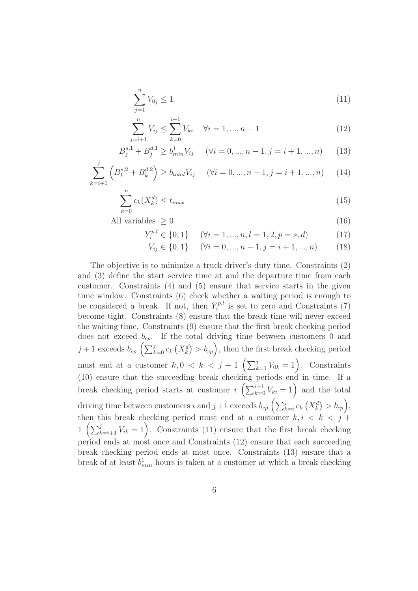$$
\sum_{j=1}^{n} V_{0j} \le 1
$$
\n(11)

$$
\sum_{i=i+1}^{n} V_{ij} \le \sum_{k=0}^{i-1} V_{ki} \quad \forall i = 1, ..., n-1
$$
\n(12)

$$
B_j^{s,1} + B_j^{d,1} \ge b_{\min}^1 V_{ij} \quad (\forall i = 0, ..., n-1, j = i+1, ..., n) \quad (13)
$$

$$
\sum_{k=i+1}^{j} \left( B_k^{s,2} + B_k^{d,2} \right) \ge b_{total} V_{ij} \quad (\forall i = 0, ..., n-1, j = i+1, ..., n) \quad (14)
$$

 $\int$ 

$$
\sum_{k=0}^{n} c_k(X_k^d) \le t_{max} \tag{15}
$$

All variables  $> 0$  (16)

$$
Y_i^{p,l} \in \{0, 1\} \qquad (\forall i = 1, ..., n, l = 1, 2, p = s, d)
$$
 (17)

$$
V_{ij} \in \{0, 1\} \qquad (\forall i = 0, ..., n - 1, j = i + 1, ..., n) \tag{18}
$$

The objective is to minimize a truck driver's duty time. Constraints (2) and (3) define the start service time at and the departure time from each customer. Constraints (4) and (5) ensure that service starts in the given time window. Constraints (6) check whether a waiting period is enough to be considered a break. If not, then  $Y_i^{p,l}$  $i^{p,\iota}$  is set to zero and Constraints (7) become tight. Constraints (8) ensure that the break time will never exceed the waiting time. Constraints (9) ensure that the first break checking period does not exceed  $b_{cp}$ . If the total driving time between customers 0 and  $j+1$  exceeds  $b_{cp}$   $\left(\sum_{k=0}^{j} c_k (X_k^d) > b_{cp}\right)$ , then the first break checking period must end at a customer  $k, 0 \lt k \lt j+1 \left( \sum_{k=1}^j V_{0k} = 1 \right)$ . Constraints (10) ensure that the succeeding break checking periods end in time. If a break checking period starts at customer  $i\left(\sum_{k=0}^{i-1}V_{ki}=1\right)$  and the total driving time between customers i and  $j+1$  exceeds  $b_{cp} \left( \sum_{k=i}^{j} c_k (X_k^d) > b_{cp} \right)$ , then this break checking period must end at a customer  $k, i \leq k \leq j+1$  $1\left(\sum_{k=i+1}^j V_{ik}=1\right)$ . Constraints (11) ensure that the first break checking period ends at most once and Constraints (12) ensure that each succeeding break checking period ends at most once. Constraints (13) ensure that a break of at least  $b_{min}^1$  hours is taken at a customer at which a break checking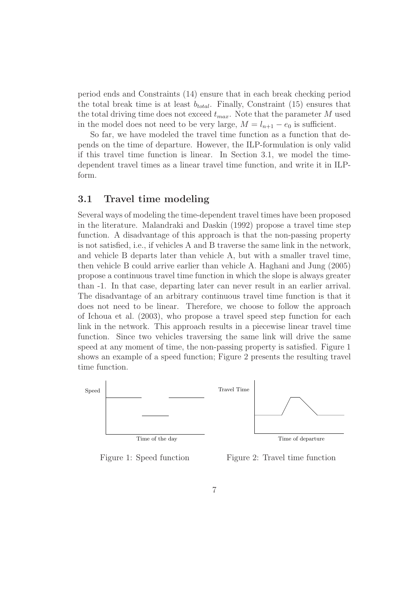period ends and Constraints (14) ensure that in each break checking period the total break time is at least  $b_{total}$ . Finally, Constraint (15) ensures that the total driving time does not exceed  $t_{max}$ . Note that the parameter M used in the model does not need to be very large,  $M = l_{n+1} - e_0$  is sufficient.

So far, we have modeled the travel time function as a function that depends on the time of departure. However, the ILP-formulation is only valid if this travel time function is linear. In Section 3.1, we model the timedependent travel times as a linear travel time function, and write it in ILPform.

#### 3.1 Travel time modeling

Several ways of modeling the time-dependent travel times have been proposed in the literature. Malandraki and Daskin (1992) propose a travel time step function. A disadvantage of this approach is that the non-passing property is not satisfied, i.e., if vehicles A and B traverse the same link in the network, and vehicle B departs later than vehicle A, but with a smaller travel time, then vehicle B could arrive earlier than vehicle A. Haghani and Jung (2005) propose a continuous travel time function in which the slope is always greater than -1. In that case, departing later can never result in an earlier arrival. The disadvantage of an arbitrary continuous travel time function is that it does not need to be linear. Therefore, we choose to follow the approach of Ichoua et al. (2003), who propose a travel speed step function for each link in the network. This approach results in a piecewise linear travel time function. Since two vehicles traversing the same link will drive the same speed at any moment of time, the non-passing property is satisfied. Figure 1 shows an example of a speed function; Figure 2 presents the resulting travel time function.



Figure 1: Speed function

Figure 2: Travel time function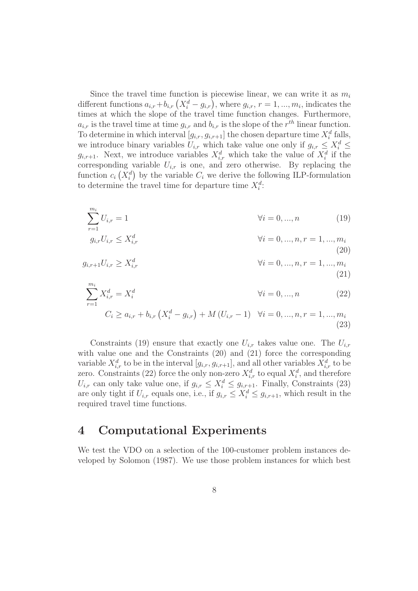Since the travel time function is piecewise linear, we can write it as  $m_i$ different functions  $a_{i,r} + b_{i,r} (X_i^d - g_{i,r})$ , where  $g_{i,r}$ ,  $r = 1, ..., m_i$ , indicates the times at which the slope of the travel time function changes. Furthermore,  $a_{i,r}$  is the travel time at time  $g_{i,r}$  and  $b_{i,r}$  is the slope of the  $r^{th}$  linear function. To determine in which interval  $[g_{i,r}, g_{i,r+1}]$  the chosen departure time  $X_i^d$  falls, we introduce binary variables  $U_{i,r}$  which take value one only if  $g_{i,r} \leq X_i^d \leq$  $g_{i,r+1}$ . Next, we introduce variables  $X_{i,r}^d$  which take the value of  $X_i^d$  if the corresponding variable  $U_{i,r}$  is one, and zero otherwise. By replacing the function  $c_i(X_i^d)$  by the variable  $C_i$  we derive the following ILP-formulation to determine the travel time for departure time  $X_i^d$ :

$$
\sum_{r=1}^{m_i} U_{i,r} = 1 \qquad \qquad \forall i = 0, ..., n \qquad (19)
$$

$$
g_{i,r}U_{i,r} \le X_{i,r}^d \qquad \forall i = 0,..., n, r = 1,..., m_i
$$
\n(20)

$$
g_{i,r+1}U_{i,r} \ge X_{i,r}^d \qquad \forall i = 0,..., n, r = 1,..., m_i
$$
\n(21)

$$
\sum_{r=1}^{m_i} X_{i,r}^d = X_i^d \qquad \forall i = 0, ..., n \qquad (22)
$$
\n
$$
C_i > a_i + b_i \quad (X^d - a_i) + M(I_i^T - 1) \quad \forall i = 0, \quad n, r = 1, \quad m.
$$

$$
C_i \ge a_{i,r} + b_{i,r} \left( X_i^d - g_{i,r} \right) + M \left( U_{i,r} - 1 \right) \quad \forall i = 0, ..., n, r = 1, ..., m_i
$$
\n(23)

Constraints (19) ensure that exactly one  $U_{i,r}$  takes value one. The  $U_{i,r}$ with value one and the Constraints  $(20)$  and  $(21)$  force the corresponding variable  $X_{i,r}^d$  to be in the interval  $[g_{i,r}, g_{i,r+1}]$ , and all other variables  $X_{i,r}^d$  to be zero. Constraints (22) force the only non-zero  $X_{i,r}^d$  to equal  $X_i^d$ , and therefore  $U_{i,r}$  can only take value one, if  $g_{i,r} \leq X_i^d \leq g_{i,r+1}$ . Finally, Constraints (23) are only tight if  $U_{i,r}$  equals one, i.e., if  $g_{i,r} \leq X_i^d \leq g_{i,r+1}$ , which result in the required travel time functions.

#### 4 Computational Experiments

We test the VDO on a selection of the 100-customer problem instances developed by Solomon (1987). We use those problem instances for which best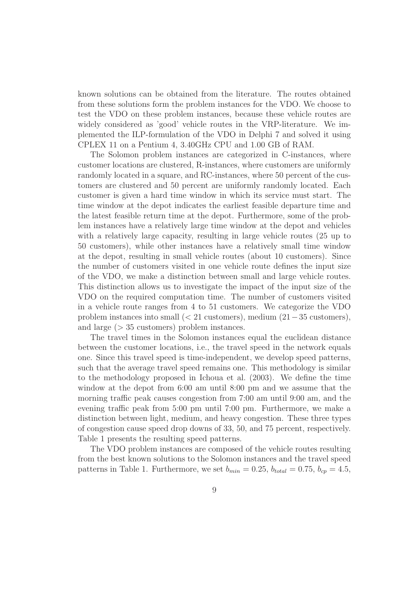known solutions can be obtained from the literature. The routes obtained from these solutions form the problem instances for the VDO. We choose to test the VDO on these problem instances, because these vehicle routes are widely considered as 'good' vehicle routes in the VRP-literature. We implemented the ILP-formulation of the VDO in Delphi 7 and solved it using CPLEX 11 on a Pentium 4, 3.40GHz CPU and 1.00 GB of RAM.

The Solomon problem instances are categorized in C-instances, where customer locations are clustered, R-instances, where customers are uniformly randomly located in a square, and RC-instances, where 50 percent of the customers are clustered and 50 percent are uniformly randomly located. Each customer is given a hard time window in which its service must start. The time window at the depot indicates the earliest feasible departure time and the latest feasible return time at the depot. Furthermore, some of the problem instances have a relatively large time window at the depot and vehicles with a relatively large capacity, resulting in large vehicle routes (25 up to 50 customers), while other instances have a relatively small time window at the depot, resulting in small vehicle routes (about 10 customers). Since the number of customers visited in one vehicle route defines the input size of the VDO, we make a distinction between small and large vehicle routes. This distinction allows us to investigate the impact of the input size of the VDO on the required computation time. The number of customers visited in a vehicle route ranges from 4 to 51 customers. We categorize the VDO problem instances into small (< 21 customers), medium (21−35 customers), and large  $(>35$  customers) problem instances.

The travel times in the Solomon instances equal the euclidean distance between the customer locations, i.e., the travel speed in the network equals one. Since this travel speed is time-independent, we develop speed patterns, such that the average travel speed remains one. This methodology is similar to the methodology proposed in Ichoua et al. (2003). We define the time window at the depot from 6:00 am until 8:00 pm and we assume that the morning traffic peak causes congestion from 7:00 am until 9:00 am, and the evening traffic peak from 5:00 pm until 7:00 pm. Furthermore, we make a distinction between light, medium, and heavy congestion. These three types of congestion cause speed drop downs of 33, 50, and 75 percent, respectively. Table 1 presents the resulting speed patterns.

The VDO problem instances are composed of the vehicle routes resulting from the best known solutions to the Solomon instances and the travel speed patterns in Table 1. Furthermore, we set  $b_{min} = 0.25$ ,  $b_{total} = 0.75$ ,  $b_{cp} = 4.5$ ,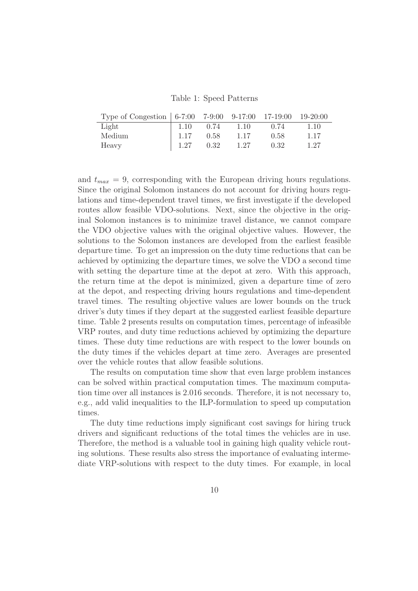Table 1: Speed Patterns

| Type of Congestion 6-7:00 7-9:00 9-17:00 17-19:00 19-20:00 |      |      |      |      |      |
|------------------------------------------------------------|------|------|------|------|------|
| Light                                                      | 1.10 | 0.74 | 1.10 | 0.74 | 1.10 |
| Medium                                                     | 1.17 | 0.58 | 1.17 | 0.58 | 1.17 |
| Heavy                                                      | 1.27 | 0.32 | 1.27 | 0.32 | 1.27 |

and  $t_{max} = 9$ , corresponding with the European driving hours regulations. Since the original Solomon instances do not account for driving hours regulations and time-dependent travel times, we first investigate if the developed routes allow feasible VDO-solutions. Next, since the objective in the original Solomon instances is to minimize travel distance, we cannot compare the VDO objective values with the original objective values. However, the solutions to the Solomon instances are developed from the earliest feasible departure time. To get an impression on the duty time reductions that can be achieved by optimizing the departure times, we solve the VDO a second time with setting the departure time at the depot at zero. With this approach, the return time at the depot is minimized, given a departure time of zero at the depot, and respecting driving hours regulations and time-dependent travel times. The resulting objective values are lower bounds on the truck driver's duty times if they depart at the suggested earliest feasible departure time. Table 2 presents results on computation times, percentage of infeasible VRP routes, and duty time reductions achieved by optimizing the departure times. These duty time reductions are with respect to the lower bounds on the duty times if the vehicles depart at time zero. Averages are presented over the vehicle routes that allow feasible solutions.

The results on computation time show that even large problem instances can be solved within practical computation times. The maximum computation time over all instances is 2.016 seconds. Therefore, it is not necessary to, e.g., add valid inequalities to the ILP-formulation to speed up computation times.

The duty time reductions imply significant cost savings for hiring truck drivers and significant reductions of the total times the vehicles are in use. Therefore, the method is a valuable tool in gaining high quality vehicle routing solutions. These results also stress the importance of evaluating intermediate VRP-solutions with respect to the duty times. For example, in local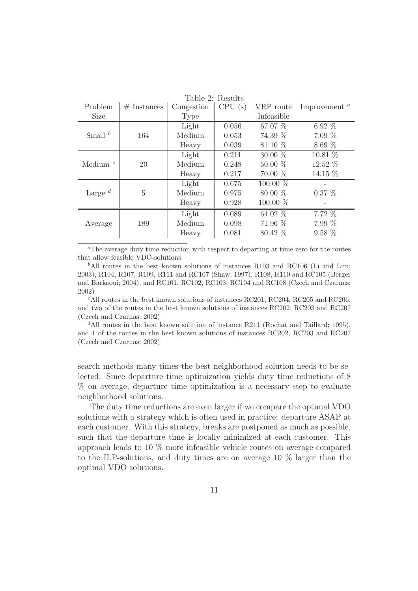| Table 2: Results |               |                                |       |            |                  |  |  |  |  |
|------------------|---------------|--------------------------------|-------|------------|------------------|--|--|--|--|
| Problem          | $#$ Instances | Congestion $\parallel$ CPU (s) |       | VRP route  | Improvement $^a$ |  |  |  |  |
| <b>Size</b>      |               | Type                           |       | Infeasible |                  |  |  |  |  |
| Small $^b$       |               | Light                          | 0.056 | 67.07 %    | 6.92 $%$         |  |  |  |  |
|                  | 164           | Medium                         | 0.053 | 74.39 %    | $7.09\%$         |  |  |  |  |
|                  |               | Heavy                          | 0.039 | 81.10 %    | 8.69%            |  |  |  |  |
| Medium $^c$      |               | Light                          | 0.211 | 30.00 %    | 10.81 %          |  |  |  |  |
|                  | 20            | Medium                         | 0.248 | $50.00\%$  | 12.52 %          |  |  |  |  |
|                  |               | Heavy                          | 0.217 | $70.00\%$  | 14.15 %          |  |  |  |  |
| Large $d$        |               | Light                          | 0.675 | $100.00\%$ |                  |  |  |  |  |
|                  | 5             | Medium                         | 0.975 | 80.00 %    | $0.37\%$         |  |  |  |  |
|                  |               | Heavy                          | 0.928 | $100.00\%$ |                  |  |  |  |  |
| Average          |               | Light                          | 0.089 | 64.02 %    | 7.72 %           |  |  |  |  |
|                  | 189           | Medium                         | 0.098 | 71.96 %    | $7.99\%$         |  |  |  |  |
|                  |               | Heavy                          | 0.081 | 80.42 %    | $9.58\%$         |  |  |  |  |

<sup>a</sup>The average duty time reduction with respect to departing at time zero for the routes that allow feasible VDO-solutions

 $b$ All routes in the best known solutions of instances R103 and RC106 (Li and Lim; 2003), R104, R107, R109, R111 and RC107 (Shaw; 1997), R108, R110 and RC105 (Berger and Barkaoui; 2004), and RC101, RC102, RC103, RC104 and RC108 (Czech and Czarnas; 2002)

 $c$ All routes in the best known solutions of instances RC201, RC204, RC205 and RC206, and two of the routes in the best known solutions of instances RC202, RC203 and RC207 (Czech and Czarnas; 2002)

<sup>d</sup>All routes in the best known solution of instance R211 (Rochat and Taillard; 1995), and 1 of the routes in the best known solutions of instances RC202, RC203 and RC207 (Czech and Czarnas; 2002)

search methods many times the best neighborhood solution needs to be selected. Since departure time optimization yields duty time reductions of 8 % on average, departure time optimization is a necessary step to evaluate neighborhood solutions.

The duty time reductions are even larger if we compare the optimal VDO solutions with a strategy which is often used in practice: departure ASAP at each customer. With this strategy, breaks are postponed as much as possible, such that the departure time is locally minimized at each customer. This approach leads to 10 % more infeasible vehicle routes on average compared to the ILP-solutions, and duty times are on average 10 % larger than the optimal VDO solutions.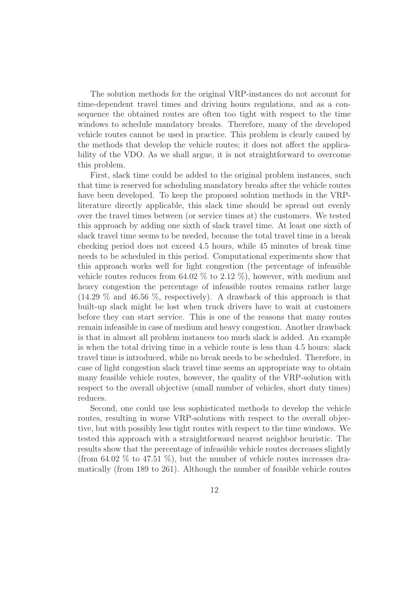The solution methods for the original VRP-instances do not account for time-dependent travel times and driving hours regulations, and as a consequence the obtained routes are often too tight with respect to the time windows to schedule mandatory breaks. Therefore, many of the developed vehicle routes cannot be used in practice. This problem is clearly caused by the methods that develop the vehicle routes; it does not affect the applicability of the VDO. As we shall argue, it is not straightforward to overcome this problem.

First, slack time could be added to the original problem instances, such that time is reserved for scheduling mandatory breaks after the vehicle routes have been developed. To keep the proposed solution methods in the VRPliterature directly applicable, this slack time should be spread out evenly over the travel times between (or service times at) the customers. We tested this approach by adding one sixth of slack travel time. At least one sixth of slack travel time seems to be needed, because the total travel time in a break checking period does not exceed 4.5 hours, while 45 minutes of break time needs to be scheduled in this period. Computational experiments show that this approach works well for light congestion (the percentage of infeasible vehicle routes reduces from 64.02  $\%$  to 2.12  $\%$ ), however, with medium and heavy congestion the percentage of infeasible routes remains rather large (14.29 % and 46.56 %, respectively). A drawback of this approach is that built-up slack might be lost when truck drivers have to wait at customers before they can start service. This is one of the reasons that many routes remain infeasible in case of medium and heavy congestion. Another drawback is that in almost all problem instances too much slack is added. An example is when the total driving time in a vehicle route is less than 4.5 hours: slack travel time is introduced, while no break needs to be scheduled. Therefore, in case of light congestion slack travel time seems an appropriate way to obtain many feasible vehicle routes, however, the quality of the VRP-solution with respect to the overall objective (small number of vehicles, short duty times) reduces.

Second, one could use less sophisticated methods to develop the vehicle routes, resulting in worse VRP-solutions with respect to the overall objective, but with possibly less tight routes with respect to the time windows. We tested this approach with a straightforward nearest neighbor heuristic. The results show that the percentage of infeasible vehicle routes decreases slightly (from  $64.02\%$  to  $47.51\%$ ), but the number of vehicle routes increases dramatically (from 189 to 261). Although the number of feasible vehicle routes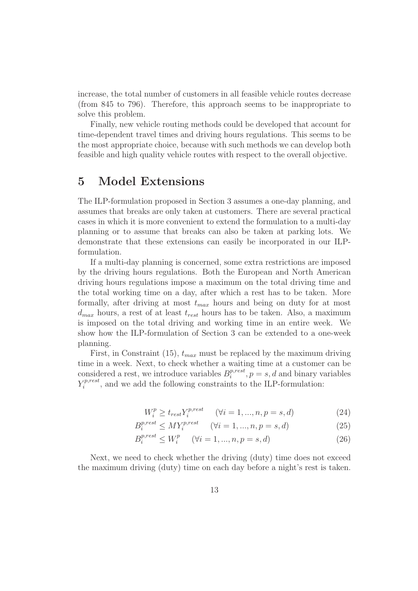increase, the total number of customers in all feasible vehicle routes decrease (from 845 to 796). Therefore, this approach seems to be inappropriate to solve this problem.

Finally, new vehicle routing methods could be developed that account for time-dependent travel times and driving hours regulations. This seems to be the most appropriate choice, because with such methods we can develop both feasible and high quality vehicle routes with respect to the overall objective.

## 5 Model Extensions

The ILP-formulation proposed in Section 3 assumes a one-day planning, and assumes that breaks are only taken at customers. There are several practical cases in which it is more convenient to extend the formulation to a multi-day planning or to assume that breaks can also be taken at parking lots. We demonstrate that these extensions can easily be incorporated in our ILPformulation.

If a multi-day planning is concerned, some extra restrictions are imposed by the driving hours regulations. Both the European and North American driving hours regulations impose a maximum on the total driving time and the total working time on a day, after which a rest has to be taken. More formally, after driving at most  $t_{max}$  hours and being on duty for at most  $d_{max}$  hours, a rest of at least  $t_{rest}$  hours has to be taken. Also, a maximum is imposed on the total driving and working time in an entire week. We show how the ILP-formulation of Section 3 can be extended to a one-week planning.

First, in Constraint (15),  $t_{max}$  must be replaced by the maximum driving time in a week. Next, to check whether a waiting time at a customer can be considered a rest, we introduce variables  $B_i^{p,rest}$  $i^{p,rest}, p = s, d$  and binary variables  $Y_i^{p,rest}$  $i^{p,rest}$ , and we add the following constraints to the ILP-formulation:

$$
W_i^p \ge t_{rest} Y_i^{p, rest} \qquad (\forall i = 1, ..., n, p = s, d)
$$
\n
$$
(24)
$$

$$
B_i^{p,rest} \le MY_i^{p,rest} \qquad (\forall i = 1, ..., n, p = s, d)
$$
\n
$$
(25)
$$

$$
B_i^{p,rest} \le W_i^p \quad (\forall i = 1, ..., n, p = s, d)
$$
\n(26)

Next, we need to check whether the driving (duty) time does not exceed the maximum driving (duty) time on each day before a night's rest is taken.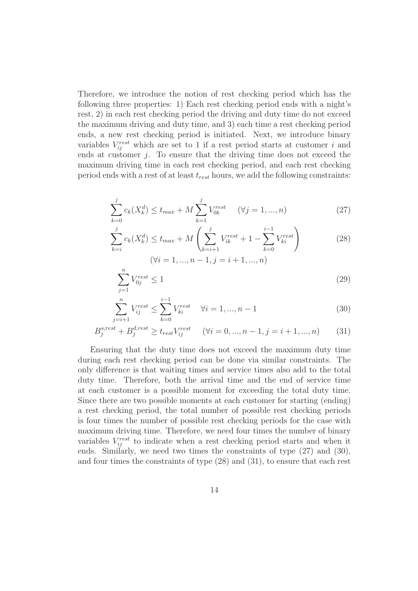Therefore, we introduce the notion of rest checking period which has the following three properties: 1) Each rest checking period ends with a night's rest, 2) in each rest checking period the driving and duty time do not exceed the maximum driving and duty time, and 3) each time a rest checking period ends, a new rest checking period is initiated. Next, we introduce binary variables  $V_{ij}^{rest}$  which are set to 1 if a rest period starts at customer i and ends at customer  $j$ . To ensure that the driving time does not exceed the maximum driving time in each rest checking period, and each rest checking period ends with a rest of at least  $t_{rest}$  hours, we add the following constraints:

$$
\sum_{k=0}^{j} c_k(X_k^d) \le t_{max} + M \sum_{k=1}^{j} V_{0k}^{rest} \quad (\forall j = 1, ..., n)
$$
\n(27)

$$
\sum_{k=i}^{j} c_k(X_k^d) \le t_{max} + M\left(\sum_{k=i+1}^{j} V_{ik}^{rest} + 1 - \sum_{k=0}^{i-1} V_{ki}^{rest}\right)
$$
\n
$$
(\forall i = 1, ..., n-1, j = i+1, ..., n)
$$
\n(28)

$$
\sum_{j=1}^{n} V_{0j}^{rest} \le 1\tag{29}
$$

$$
\sum_{j=i+1}^{n} V_{ij}^{rest} \le \sum_{k=0}^{i-1} V_{ki}^{rest} \quad \forall i = 1, ..., n-1
$$
\n(30)

$$
B_j^{s,rest} + B_j^{d,rest} \ge t_{rest} V_{ij}^{rest} \quad (\forall i = 0, ..., n-1, j = i+1, ..., n)
$$
 (31)

Ensuring that the duty time does not exceed the maximum duty time during each rest checking period can be done via similar constraints. The only difference is that waiting times and service times also add to the total duty time. Therefore, both the arrival time and the end of service time at each customer is a possible moment for exceeding the total duty time. Since there are two possible moments at each customer for starting (ending) a rest checking period, the total number of possible rest checking periods is four times the number of possible rest checking periods for the case with maximum driving time. Therefore, we need four times the number of binary variables  $V_{ij}^{rest}$  to indicate when a rest checking period starts and when it ends. Similarly, we need two times the constraints of type (27) and (30), and four times the constraints of type (28) and (31), to ensure that each rest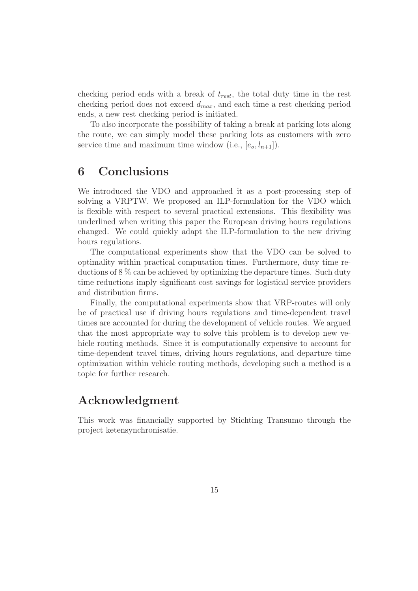checking period ends with a break of  $t_{rest}$ , the total duty time in the rest checking period does not exceed  $d_{max}$ , and each time a rest checking period ends, a new rest checking period is initiated.

To also incorporate the possibility of taking a break at parking lots along the route, we can simply model these parking lots as customers with zero service time and maximum time window (i.e.,  $[e_0, l_{n+1}]$ ).

## 6 Conclusions

We introduced the VDO and approached it as a post-processing step of solving a VRPTW. We proposed an ILP-formulation for the VDO which is flexible with respect to several practical extensions. This flexibility was underlined when writing this paper the European driving hours regulations changed. We could quickly adapt the ILP-formulation to the new driving hours regulations.

The computational experiments show that the VDO can be solved to optimality within practical computation times. Furthermore, duty time reductions of 8 % can be achieved by optimizing the departure times. Such duty time reductions imply significant cost savings for logistical service providers and distribution firms.

Finally, the computational experiments show that VRP-routes will only be of practical use if driving hours regulations and time-dependent travel times are accounted for during the development of vehicle routes. We argued that the most appropriate way to solve this problem is to develop new vehicle routing methods. Since it is computationally expensive to account for time-dependent travel times, driving hours regulations, and departure time optimization within vehicle routing methods, developing such a method is a topic for further research.

## Acknowledgment

This work was financially supported by Stichting Transumo through the project ketensynchronisatie.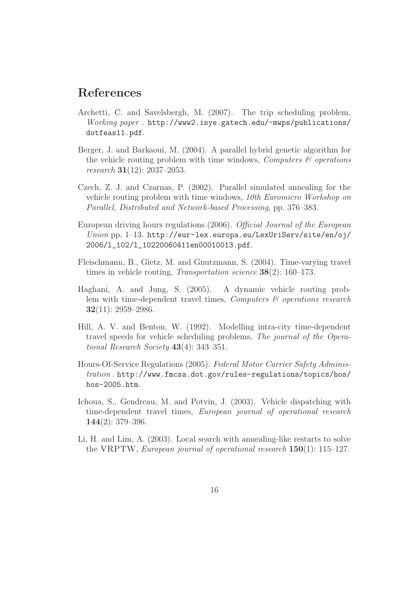## References

- Archetti, C. and Savelsbergh, M. (2007). The trip scheduling problem, Working paper . http://www2.isye.gatech.edu/~mwps/publications/ dotfeas11.pdf.
- Berger, J. and Barkaoui, M. (2004). A parallel hybrid genetic algorithm for the vehicle routing problem with time windows, *Computers*  $\mathcal{C}$  operations research 31(12): 2037–2053.
- Czech, Z. J. and Czarnas, P. (2002). Parallel simulated annealing for the vehicle routing problem with time windows, 10th Euromicro Workshop on Parallel, Distributed and Network-based Processing, pp. 376–383.
- European driving hours regulations (2006). Official Journal of the European Union pp. 1–13. http://eur-lex.europa.eu/LexUriServ/site/en/oj/ 2006/l\_102/l\_10220060411en00010013.pdf.
- Fleischmann, B., Gietz, M. and Gnutzmann, S. (2004). Time-varying travel times in vehicle routing, Transportation science 38(2): 160–173.
- Haghani, A. and Jung, S. (2005). A dynamic vehicle routing problem with time-dependent travel times, *Computers*  $\mathcal{C}$  operations research  $32(11): 2959 - 2986.$
- Hill, A. V. and Benton, W. (1992). Modelling intra-city time-dependent travel speeds for vehicle scheduling problems, The journal of the Operational Research Society  $43(4)$ : 343–351.
- Hours-Of-Service Regulations (2005). Federal Motor Carrier Safety Administration . http://www.fmcsa.dot.gov/rules-regulations/topics/hos/ hos-2005.htm.
- Ichoua, S., Gendreau, M. and Potvin, J. (2003). Vehicle dispatching with time-dependent travel times, European journal of operational research  $144(2): 379-396.$
- Li, H. and Lim, A. (2003). Local search with annealing-like restarts to solve the VRPTW, European journal of operational research 150(1): 115–127.